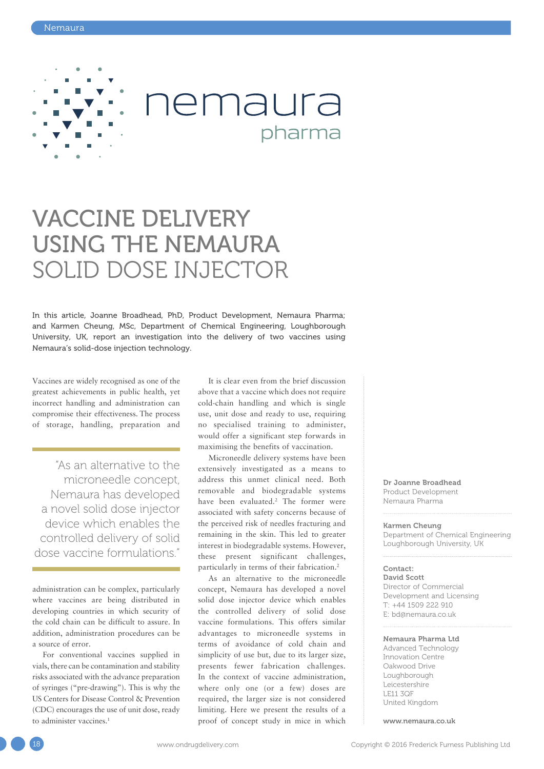

# VACCINE DELIVERY USING THE NEMAURA SOLID DOSE INJECTOR

In this article, Joanne Broadhead, PhD, Product Development, Nemaura Pharma; and Karmen Cheung, MSc, Department of Chemical Engineering, Loughborough University, UK, report an investigation into the delivery of two vaccines using Nemaura's solid-dose injection technology.

Vaccines are widely recognised as one of the greatest achievements in public health, yet incorrect handling and administration can compromise their effectiveness. The process of storage, handling, preparation and

"As an alternative to the microneedle concept, Nemaura has developed a novel solid dose injector device which enables the controlled delivery of solid dose vaccine formulations."

administration can be complex, particularly where vaccines are being distributed in developing countries in which security of the cold chain can be difficult to assure. In addition, administration procedures can be a source of error.

For conventional vaccines supplied in vials, there can be contamination and stability risks associated with the advance preparation of syringes ("pre-drawing"). This is why the US Centers for Disease Control & Prevention (CDC) encourages the use of unit dose, ready to administer vaccines.<sup>1</sup>

It is clear even from the brief discussion above that a vaccine which does not require cold-chain handling and which is single use, unit dose and ready to use, requiring no specialised training to administer, would offer a significant step forwards in maximising the benefits of vaccination.

pharma

Microneedle delivery systems have been extensively investigated as a means to address this unmet clinical need. Both removable and biodegradable systems have been evaluated.<sup>2</sup> The former were associated with safety concerns because of the perceived risk of needles fracturing and remaining in the skin. This led to greater interest in biodegradable systems. However, these present significant challenges, particularly in terms of their fabrication.2

As an alternative to the microneedle concept, Nemaura has developed a novel solid dose injector device which enables the controlled delivery of solid dose vaccine formulations. This offers similar advantages to microneedle systems in terms of avoidance of cold chain and simplicity of use but, due to its larger size, presents fewer fabrication challenges. In the context of vaccine administration, where only one (or a few) doses are required, the larger size is not considered limiting. Here we present the results of a proof of concept study in mice in which

Dr Joanne Broadhead Product Development Nemaura Pharma

#### Karmen Cheung

Department of Chemical Engineering Loughborough University, UK

#### Contact:

David Scott Director of Commercial Development and Licensing T: +44 1509 222 910 E: bd@nemaura.co.uk

#### Nemaura Pharma Ltd

Advanced Technology Innovation Centre Oakwood Drive Loughborough Leicestershire LE11 3QF United Kingdom

www.nemaura.co.uk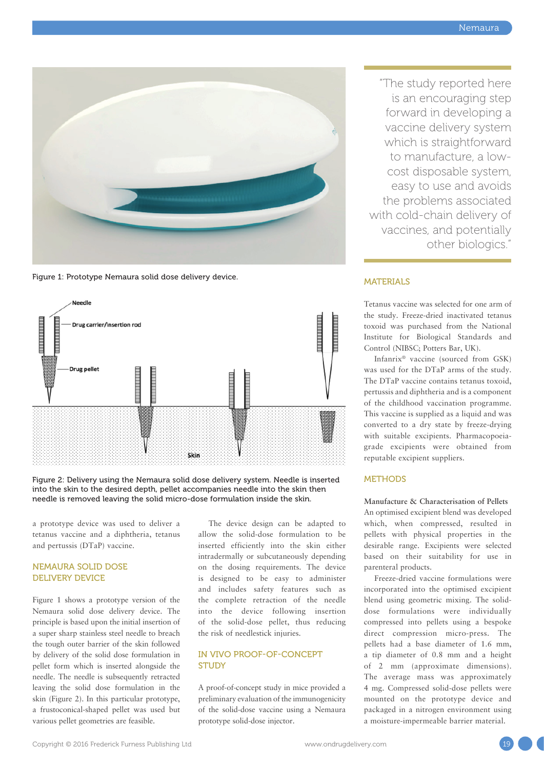

Figure 1: Prototype Nemaura solid dose delivery device.



Figure 2: Delivery using the Nemaura solid dose delivery system. Needle is inserted into the skin to the desired depth, pellet accompanies needle into the skin then needle is removed leaving the solid micro-dose formulation inside the skin.

a prototype device was used to deliver a tetanus vaccine and a diphtheria, tetanus and pertussis (DTaP) vaccine.

# NEMAURA SOLID DOSE DELIVERY DEVICE

Figure 1 shows a prototype version of the Nemaura solid dose delivery device. The principle is based upon the initial insertion of a super sharp stainless steel needle to breach the tough outer barrier of the skin followed by delivery of the solid dose formulation in pellet form which is inserted alongside the needle. The needle is subsequently retracted leaving the solid dose formulation in the skin (Figure 2). In this particular prototype, a frustoconical-shaped pellet was used but various pellet geometries are feasible.

The device design can be adapted to allow the solid-dose formulation to be inserted efficiently into the skin either intradermally or subcutaneously depending on the dosing requirements. The device is designed to be easy to administer and includes safety features such as the complete retraction of the needle into the device following insertion of the solid-dose pellet, thus reducing the risk of needlestick injuries.

# IN VIVO PROOF-OF-CONCEPT STUDY

A proof-of-concept study in mice provided a preliminary evaluation of the immunogenicity of the solid-dose vaccine using a Nemaura prototype solid-dose injector.

"The study reported here is an encouraging step forward in developing a vaccine delivery system which is straightforward to manufacture, a lowcost disposable system, easy to use and avoids the problems associated with cold-chain delivery of vaccines, and potentially other biologics."

# MATERIALS

Tetanus vaccine was selected for one arm of the study. Freeze-dried inactivated tetanus toxoid was purchased from the National Institute for Biological Standards and Control (NIBSC; Potters Bar, UK).

Infanrix® vaccine (sourced from GSK) was used for the DTaP arms of the study. The DTaP vaccine contains tetanus toxoid, pertussis and diphtheria and is a component of the childhood vaccination programme. This vaccine is supplied as a liquid and was converted to a dry state by freeze-drying with suitable excipients. Pharmacopoeiagrade excipients were obtained from reputable excipient suppliers.

# **METHODS**

**Manufacture & Characterisation of Pellets** An optimised excipient blend was developed which, when compressed, resulted in pellets with physical properties in the desirable range. Excipients were selected based on their suitability for use in parenteral products.

Freeze-dried vaccine formulations were incorporated into the optimised excipient blend using geometric mixing. The soliddose formulations were individually compressed into pellets using a bespoke direct compression micro-press. The pellets had a base diameter of 1.6 mm, a tip diameter of 0.8 mm and a height of 2 mm (approximate dimensions). The average mass was approximately 4 mg. Compressed solid-dose pellets were mounted on the prototype device and packaged in a nitrogen environment using a moisture-impermeable barrier material.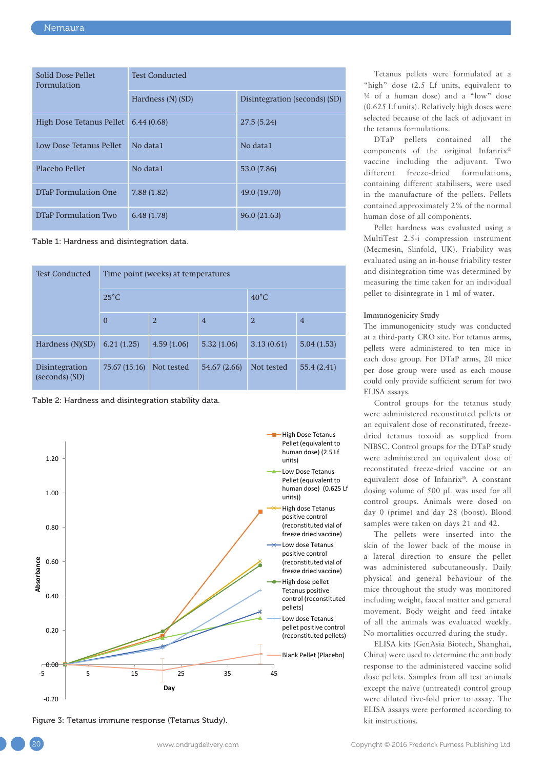| Solid Dose Pellet<br><b>Formulation</b> | <b>Test Conducted</b> |                               |  |  |
|-----------------------------------------|-----------------------|-------------------------------|--|--|
|                                         | Hardness (N) (SD)     | Disintegration (seconds) (SD) |  |  |
| High Dose Tetanus Pellet                | 6.44(0.68)            | 27.5(5.24)                    |  |  |
| Low Dose Tetanus Pellet                 | No data1              | No data1                      |  |  |
| Placebo Pellet                          | No data1              | 53.0 (7.86)                   |  |  |
| <b>DTaP</b> Formulation One             | 7.88(1.82)            | 49.0 (19.70)                  |  |  |
| <b>DTaP Formulation Two</b>             | 6.48(1.78)            | 96.0(21.63)                   |  |  |

Table 1: Hardness and disintegration data.

| <b>Test Conducted</b>            | Time point (weeks) at temperatures |                |                |                |                |  |
|----------------------------------|------------------------------------|----------------|----------------|----------------|----------------|--|
|                                  | $25^{\circ}$ C                     |                |                | $40^{\circ}$ C |                |  |
|                                  | $\bf{0}$                           | $\overline{2}$ | $\overline{4}$ | $\overline{2}$ | $\overline{4}$ |  |
| Hardness $(N)(SD)$               | 6.21(1.25)                         | 4.59(1.06)     | 5.32(1.06)     | 3.13(0.61)     | 5.04(1.53)     |  |
| Disintegration<br>(seconds) (SD) | 75.67 (15.16)                      | Not tested     | 54.67 (2.66)   | Not tested     | 55.4(2.41)     |  |

Table 2: Hardness and disintegration stability data.



Figure 3: Tetanus immune response (Tetanus Study). The state of the state of the state instructions.

Tetanus pellets were formulated at a "high" dose (2.5 Lf units, equivalent to ¼ of a human dose) and a "low" dose (0.625 Lf units). Relatively high doses were selected because of the lack of adjuvant in the tetanus formulations.

DTaP pellets contained all the components of the original Infanrix® vaccine including the adjuvant. Two different freeze-dried formulations, containing different stabilisers, were used in the manufacture of the pellets. Pellets contained approximately 2% of the normal human dose of all components.

Pellet hardness was evaluated using a MultiTest 2.5-i compression instrument (Mecmesin, Slinfold, UK). Friability was evaluated using an in-house friability tester and disintegration time was determined by measuring the time taken for an individual pellet to disintegrate in 1 ml of water.

# **Immunogenicity Study**

The immunogenicity study was conducted at a third-party CRO site. For tetanus arms, pellets were administered to ten mice in each dose group. For DTaP arms, 20 mice per dose group were used as each mouse could only provide sufficient serum for two ELISA assays.

Control groups for the tetanus study were administered reconstituted pellets or an equivalent dose of reconstituted, freezedried tetanus toxoid as supplied from NIBSC. Control groups for the DTaP study were administered an equivalent dose of reconstituted freeze-dried vaccine or an equivalent dose of Infanrix®. A constant dosing volume of 500 µL was used for all control groups. Animals were dosed on day 0 (prime) and day 28 (boost). Blood samples were taken on days 21 and 42.

The pellets were inserted into the skin of the lower back of the mouse in a lateral direction to ensure the pellet was administered subcutaneously. Daily physical and general behaviour of the mice throughout the study was monitored including weight, faecal matter and general movement. Body weight and feed intake of all the animals was evaluated weekly. No mortalities occurred during the study.

ELISA kits (GenAsia Biotech, Shanghai, China) were used to determine the antibody response to the administered vaccine solid dose pellets. Samples from all test animals except the naïve (untreated) control group were diluted five-fold prior to assay. The ELISA assays were performed according to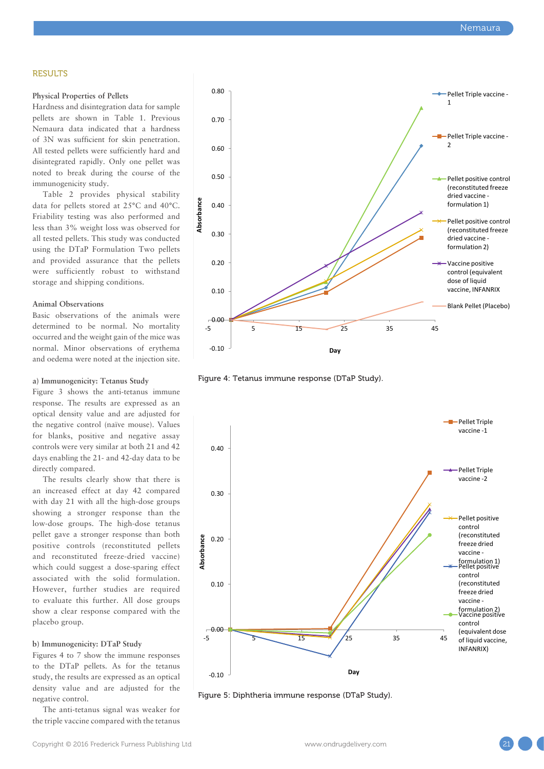## **RESULTS**

### **Physical Properties of Pellets**

Hardness and disintegration data for sample pellets are shown in Table 1. Previous Nemaura data indicated that a hardness of 3N was sufficient for skin penetration. All tested pellets were sufficiently hard and disintegrated rapidly. Only one pellet was noted to break during the course of the immunogenicity study.

Table 2 provides physical stability data for pellets stored at 25°C and 40°C. Friability testing was also performed and less than 3% weight loss was observed for all tested pellets. This study was conducted using the DTaP Formulation Two pellets and provided assurance that the pellets were sufficiently robust to withstand storage and shipping conditions.

### **Animal Observations**

Basic observations of the animals were determined to be normal. No mortality occurred and the weight gain of the mice was normal. Minor observations of erythema and oedema were noted at the injection site.

#### **a) Immunogenicity: Tetanus Study**

Figure 3 shows the anti-tetanus immune response. The results are expressed as an optical density value and are adjusted for the negative control (naïve mouse). Values for blanks, positive and negative assay controls were very similar at both 21 and 42 days enabling the 21- and 42-day data to be directly compared.

The results clearly show that there is an increased effect at day 42 compared with day 21 with all the high-dose groups showing a stronger response than the low-dose groups. The high-dose tetanus pellet gave a stronger response than both positive controls (reconstituted pellets and reconstituted freeze-dried vaccine) which could suggest a dose-sparing effect associated with the solid formulation. However, further studies are required to evaluate this further. All dose groups show a clear response compared with the placebo group.

#### **b) Immunogenicity: DTaP Study**

Figures 4 to 7 show the immune responses to the DTaP pellets. As for the tetanus study, the results are expressed as an optical density value and are adjusted for the negative control.

The anti-tetanus signal was weaker for the triple vaccine compared with the tetanus



Figure 4: Tetanus immune response (DTaP Study).



Figure 5: Diphtheria immune response (DTaP Study).